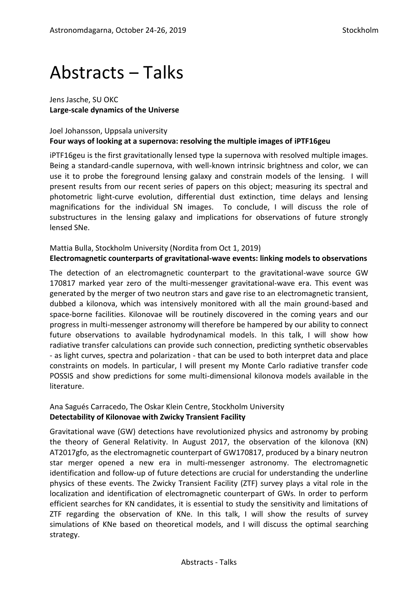# Abstracts ‒ Talks

Jens Jasche, SU OKC **Large-scale dynamics of the Universe**

## Joel Johansson, Uppsala university **Four ways of looking at a supernova: resolving the multiple images of iPTF16geu**

iPTF16geu is the first gravitationally lensed type Ia supernova with resolved multiple images. Being a standard-candle supernova, with well-known intrinsic brightness and color, we can use it to probe the foreground lensing galaxy and constrain models of the lensing. I will present results from our recent series of papers on this object; measuring its spectral and photometric light-curve evolution, differential dust extinction, time delays and lensing magnifications for the individual SN images. To conclude, I will discuss the role of substructures in the lensing galaxy and implications for observations of future strongly lensed SNe.

# Mattia Bulla, Stockholm University (Nordita from Oct 1, 2019) **Electromagnetic counterparts of gravitational-wave events: linking models to observations**

The detection of an electromagnetic counterpart to the gravitational-wave source GW 170817 marked year zero of the multi-messenger gravitational-wave era. This event was generated by the merger of two neutron stars and gave rise to an electromagnetic transient, dubbed a kilonova, which was intensively monitored with all the main ground-based and space-borne facilities. Kilonovae will be routinely discovered in the coming years and our progress in multi-messenger astronomy will therefore be hampered by our ability to connect future observations to available hydrodynamical models. In this talk, I will show how radiative transfer calculations can provide such connection, predicting synthetic observables - as light curves, spectra and polarization - that can be used to both interpret data and place constraints on models. In particular, I will present my Monte Carlo radiative transfer code POSSIS and show predictions for some multi-dimensional kilonova models available in the literature.

#### Ana Sagués Carracedo, The Oskar Klein Centre, Stockholm University **Detectability of Kilonovae with Zwicky Transient Facility**

Gravitational wave (GW) detections have revolutionized physics and astronomy by probing the theory of General Relativity. In August 2017, the observation of the kilonova (KN) AT2017gfo, as the electromagnetic counterpart of GW170817, produced by a binary neutron star merger opened a new era in multi-messenger astronomy. The electromagnetic identification and follow-up of future detections are crucial for understanding the underline physics of these events. The Zwicky Transient Facility (ZTF) survey plays a vital role in the localization and identification of electromagnetic counterpart of GWs. In order to perform efficient searches for KN candidates, it is essential to study the sensitivity and limitations of ZTF regarding the observation of KNe. In this talk, I will show the results of survey simulations of KNe based on theoretical models, and I will discuss the optimal searching strategy.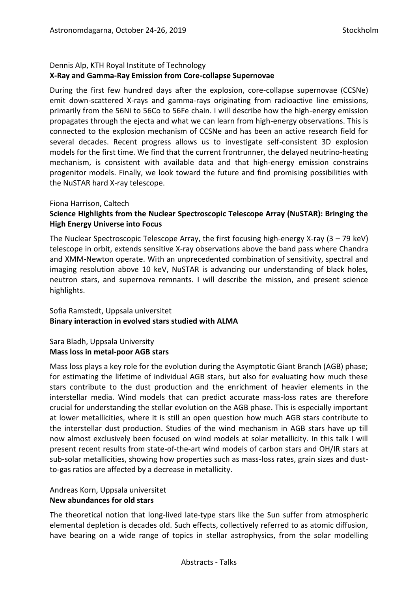# Dennis Alp, KTH Royal Institute of Technology **X-Ray and Gamma-Ray Emission from Core-collapse Supernovae**

During the first few hundred days after the explosion, core-collapse supernovae (CCSNe) emit down-scattered X-rays and gamma-rays originating from radioactive line emissions, primarily from the 56Ni to 56Co to 56Fe chain. I will describe how the high-energy emission propagates through the ejecta and what we can learn from high-energy observations. This is connected to the explosion mechanism of CCSNe and has been an active research field for several decades. Recent progress allows us to investigate self-consistent 3D explosion models for the first time. We find that the current frontrunner, the delayed neutrino-heating mechanism, is consistent with available data and that high-energy emission constrains progenitor models. Finally, we look toward the future and find promising possibilities with the NuSTAR hard X-ray telescope.

#### Fiona Harrison, Caltech

# **Science Highlights from the Nuclear Spectroscopic Telescope Array (NuSTAR): Bringing the High Energy Universe into Focus**

The Nuclear Spectroscopic Telescope Array, the first focusing high-energy X-ray (3 – 79 keV) telescope in orbit, extends sensitive X-ray observations above the band pass where Chandra and XMM-Newton operate. With an unprecedented combination of sensitivity, spectral and imaging resolution above 10 keV, NuSTAR is advancing our understanding of black holes, neutron stars, and supernova remnants. I will describe the mission, and present science highlights.

#### Sofia Ramstedt, Uppsala universitet **Binary interaction in evolved stars studied with ALMA**

# Sara Bladh, Uppsala University **Mass loss in metal-poor AGB stars**

Mass loss plays a key role for the evolution during the Asymptotic Giant Branch (AGB) phase; for estimating the lifetime of individual AGB stars, but also for evaluating how much these stars contribute to the dust production and the enrichment of heavier elements in the interstellar media. Wind models that can predict accurate mass-loss rates are therefore crucial for understanding the stellar evolution on the AGB phase. This is especially important at lower metallicities, where it is still an open question how much AGB stars contribute to the interstellar dust production. Studies of the wind mechanism in AGB stars have up till now almost exclusively been focused on wind models at solar metallicity. In this talk I will present recent results from state-of-the-art wind models of carbon stars and OH/IR stars at sub-solar metallicities, showing how properties such as mass-loss rates, grain sizes and dustto-gas ratios are affected by a decrease in metallicity.

# Andreas Korn, Uppsala universitet **New abundances for old stars**

The theoretical notion that long-lived late-type stars like the Sun suffer from atmospheric elemental depletion is decades old. Such effects, collectively referred to as atomic diffusion, have bearing on a wide range of topics in stellar astrophysics, from the solar modelling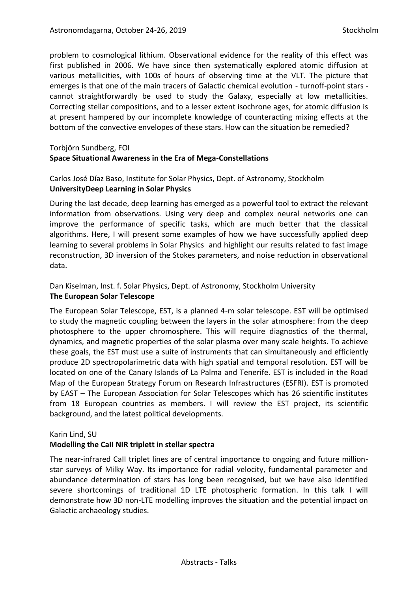problem to cosmological lithium. Observational evidence for the reality of this effect was first published in 2006. We have since then systematically explored atomic diffusion at various metallicities, with 100s of hours of observing time at the VLT. The picture that emerges is that one of the main tracers of Galactic chemical evolution - turnoff-point stars cannot straightforwardly be used to study the Galaxy, especially at low metallicities. Correcting stellar compositions, and to a lesser extent isochrone ages, for atomic diffusion is at present hampered by our incomplete knowledge of counteracting mixing effects at the bottom of the convective envelopes of these stars. How can the situation be remedied?

#### Torbjörn Sundberg, FOI **Space Situational Awareness in the Era of Mega-Constellations**

Carlos José Díaz Baso, Institute for Solar Physics, Dept. of Astronomy, Stockholm **UniversityDeep Learning in Solar Physics**

During the last decade, deep learning has emerged as a powerful tool to extract the relevant information from observations. Using very deep and complex neural networks one can improve the performance of specific tasks, which are much better that the classical algorithms. Here, I will present some examples of how we have successfully applied deep learning to several problems in Solar Physics and highlight our results related to fast image reconstruction, 3D inversion of the Stokes parameters, and noise reduction in observational data.

# Dan Kiselman, Inst. f. Solar Physics, Dept. of Astronomy, Stockholm University **The European Solar Telescope**

The European Solar Telescope, EST, is a planned 4-m solar telescope. EST will be optimised to study the magnetic coupling between the layers in the solar atmosphere: from the deep photosphere to the upper chromosphere. This will require diagnostics of the thermal, dynamics, and magnetic properties of the solar plasma over many scale heights. To achieve these goals, the EST must use a suite of instruments that can simultaneously and efficiently produce 2D spectropolarimetric data with high spatial and temporal resolution. EST will be located on one of the Canary Islands of La Palma and Tenerife. EST is included in the Road Map of the European Strategy Forum on Research Infrastructures (ESFRI). EST is promoted by EAST – The European Association for Solar Telescopes which has 26 scientific institutes from 18 European countries as members. I will review the EST project, its scientific background, and the latest political developments.

# Karin Lind, SU

# **Modelling the CaII NIR triplett in stellar spectra**

The near-infrared CaII triplet lines are of central importance to ongoing and future millionstar surveys of Milky Way. Its importance for radial velocity, fundamental parameter and abundance determination of stars has long been recognised, but we have also identified severe shortcomings of traditional 1D LTE photospheric formation. In this talk I will demonstrate how 3D non-LTE modelling improves the situation and the potential impact on Galactic archaeology studies.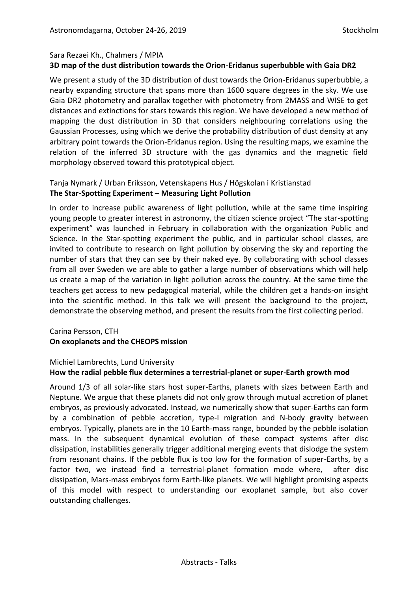# Sara Rezaei Kh., Chalmers / MPIA **3D map of the dust distribution towards the Orion-Eridanus superbubble with Gaia DR2**

We present a study of the 3D distribution of dust towards the Orion-Eridanus superbubble, a nearby expanding structure that spans more than 1600 square degrees in the sky. We use Gaia DR2 photometry and parallax together with photometry from 2MASS and WISE to get distances and extinctions for stars towards this region. We have developed a new method of mapping the dust distribution in 3D that considers neighbouring correlations using the Gaussian Processes, using which we derive the probability distribution of dust density at any arbitrary point towards the Orion-Eridanus region. Using the resulting maps, we examine the relation of the inferred 3D structure with the gas dynamics and the magnetic field morphology observed toward this prototypical object.

# Tanja Nymark / Urban Eriksson, Vetenskapens Hus / Högskolan i Kristianstad **The Star-Spotting Experiment – Measuring Light Pollution**

In order to increase public awareness of light pollution, while at the same time inspiring young people to greater interest in astronomy, the citizen science project "The star-spotting experiment" was launched in February in collaboration with the organization Public and Science. In the Star-spotting experiment the public, and in particular school classes, are invited to contribute to research on light pollution by observing the sky and reporting the number of stars that they can see by their naked eye. By collaborating with school classes from all over Sweden we are able to gather a large number of observations which will help us create a map of the variation in light pollution across the country. At the same time the teachers get access to new pedagogical material, while the children get a hands-on insight into the scientific method. In this talk we will present the background to the project, demonstrate the observing method, and present the results from the first collecting period.

# Carina Persson, CTH **On exoplanets and the CHEOPS mission**

# Michiel Lambrechts, Lund University **How the radial pebble flux determines a terrestrial-planet or super-Earth growth mod**

Around 1/3 of all solar-like stars host super-Earths, planets with sizes between Earth and Neptune. We argue that these planets did not only grow through mutual accretion of planet embryos, as previously advocated. Instead, we numerically show that super-Earths can form by a combination of pebble accretion, type-I migration and N-body gravity between embryos. Typically, planets are in the 10 Earth-mass range, bounded by the pebble isolation mass. In the subsequent dynamical evolution of these compact systems after disc dissipation, instabilities generally trigger additional merging events that dislodge the system from resonant chains. If the pebble flux is too low for the formation of super-Earths, by a factor two, we instead find a terrestrial-planet formation mode where, after disc dissipation, Mars-mass embryos form Earth-like planets. We will highlight promising aspects of this model with respect to understanding our exoplanet sample, but also cover outstanding challenges.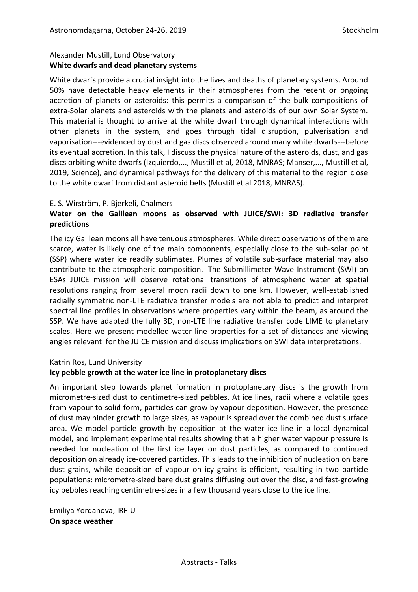# Alexander Mustill, Lund Observatory **White dwarfs and dead planetary systems**

White dwarfs provide a crucial insight into the lives and deaths of planetary systems. Around 50% have detectable heavy elements in their atmospheres from the recent or ongoing accretion of planets or asteroids: this permits a comparison of the bulk compositions of extra-Solar planets and asteroids with the planets and asteroids of our own Solar System. This material is thought to arrive at the white dwarf through dynamical interactions with other planets in the system, and goes through tidal disruption, pulverisation and vaporisation---evidenced by dust and gas discs observed around many white dwarfs---before its eventual accretion. In this talk, I discuss the physical nature of the asteroids, dust, and gas discs orbiting white dwarfs (Izquierdo,..., Mustill et al, 2018, MNRAS; Manser,..., Mustill et al, 2019, Science), and dynamical pathways for the delivery of this material to the region close to the white dwarf from distant asteroid belts (Mustill et al 2018, MNRAS).

# E. S. Wirström, P. Bjerkeli, Chalmers

# **Water on the Galilean moons as observed with JUICE/SWI: 3D radiative transfer predictions**

The icy Galilean moons all have tenuous atmospheres. While direct observations of them are scarce, water is likely one of the main components, especially close to the sub-solar point (SSP) where water ice readily sublimates. Plumes of volatile sub-surface material may also contribute to the atmospheric composition. The Submillimeter Wave Instrument (SWI) on ESAs JUICE mission will observe rotational transitions of atmospheric water at spatial resolutions ranging from several moon radii down to one km. However, well-established radially symmetric non-LTE radiative transfer models are not able to predict and interpret spectral line profiles in observations where properties vary within the beam, as around the SSP. We have adapted the fully 3D, non-LTE line radiative transfer code LIME to planetary scales. Here we present modelled water line properties for a set of distances and viewing angles relevant for the JUICE mission and discuss implications on SWI data interpretations.

# Katrin Ros, Lund University

# **Icy pebble growth at the water ice line in protoplanetary discs**

An important step towards planet formation in protoplanetary discs is the growth from micrometre-sized dust to centimetre-sized pebbles. At ice lines, radii where a volatile goes from vapour to solid form, particles can grow by vapour deposition. However, the presence of dust may hinder growth to large sizes, as vapour is spread over the combined dust surface area. We model particle growth by deposition at the water ice line in a local dynamical model, and implement experimental results showing that a higher water vapour pressure is needed for nucleation of the first ice layer on dust particles, as compared to continued deposition on already ice-covered particles. This leads to the inhibition of nucleation on bare dust grains, while deposition of vapour on icy grains is efficient, resulting in two particle populations: micrometre-sized bare dust grains diffusing out over the disc, and fast-growing icy pebbles reaching centimetre-sizes in a few thousand years close to the ice line.

Emiliya Yordanova, IRF-U **On space weather**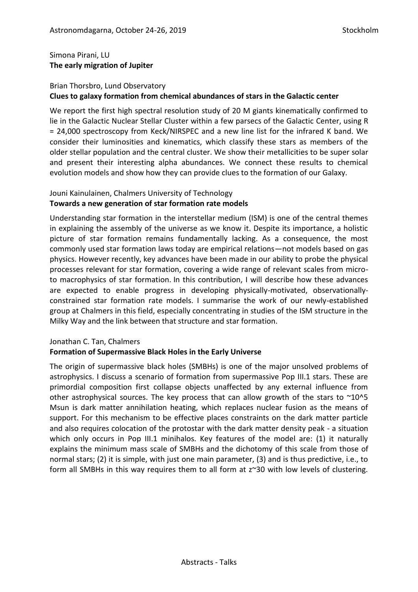# Simona Pirani, LU **The early migration of Jupiter**

# Brian Thorsbro, Lund Observatory

# **Clues to galaxy formation from chemical abundances of stars in the Galactic center**

We report the first high spectral resolution study of 20 M giants kinematically confirmed to lie in the Galactic Nuclear Stellar Cluster within a few parsecs of the Galactic Center, using R = 24,000 spectroscopy from Keck/NIRSPEC and a new line list for the infrared K band. We consider their luminosities and kinematics, which classify these stars as members of the older stellar population and the central cluster. We show their metallicities to be super solar and present their interesting alpha abundances. We connect these results to chemical evolution models and show how they can provide clues to the formation of our Galaxy.

#### Jouni Kainulainen, Chalmers University of Technology **Towards a new generation of star formation rate models**

Understanding star formation in the interstellar medium (ISM) is one of the central themes in explaining the assembly of the universe as we know it. Despite its importance, a holistic picture of star formation remains fundamentally lacking. As a consequence, the most commonly used star formation laws today are empirical relations—not models based on gas physics. However recently, key advances have been made in our ability to probe the physical processes relevant for star formation, covering a wide range of relevant scales from microto macrophysics of star formation. In this contribution, I will describe how these advances are expected to enable progress in developing physically-motivated, observationallyconstrained star formation rate models. I summarise the work of our newly-established group at Chalmers in this field, especially concentrating in studies of the ISM structure in the Milky Way and the link between that structure and star formation.

# Jonathan C. Tan, Chalmers

#### **Formation of Supermassive Black Holes in the Early Universe**

The origin of supermassive black holes (SMBHs) is one of the major unsolved problems of astrophysics. I discuss a scenario of formation from supermassive Pop III.1 stars. These are primordial composition first collapse objects unaffected by any external influence from other astrophysical sources. The key process that can allow growth of the stars to  $\sim$ 10^5 Msun is dark matter annihilation heating, which replaces nuclear fusion as the means of support. For this mechanism to be effective places constraints on the dark matter particle and also requires colocation of the protostar with the dark matter density peak - a situation which only occurs in Pop III.1 minihalos. Key features of the model are: (1) it naturally explains the minimum mass scale of SMBHs and the dichotomy of this scale from those of normal stars; (2) it is simple, with just one main parameter, (3) and is thus predictive, i.e., to form all SMBHs in this way requires them to all form at z~30 with low levels of clustering.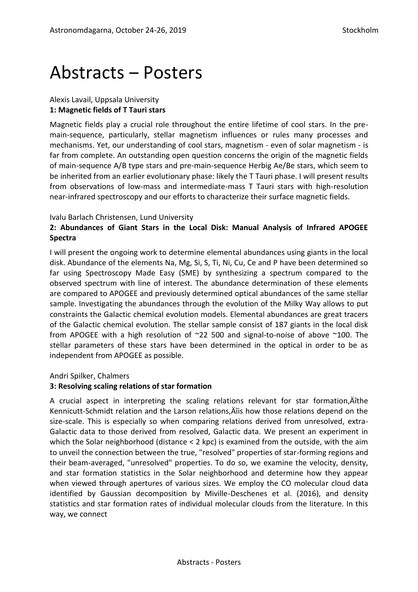# Abstracts ‒ Posters

# Alexis Lavail, Uppsala University **1: Magnetic fields of T Tauri stars**

Magnetic fields play a crucial role throughout the entire lifetime of cool stars. In the premain-sequence, particularly, stellar magnetism influences or rules many processes and mechanisms. Yet, our understanding of cool stars, magnetism - even of solar magnetism - is far from complete. An outstanding open question concerns the origin of the magnetic fields of main-sequence A/B type stars and pre-main-sequence Herbig Ae/Be stars, which seem to be inherited from an earlier evolutionary phase: likely the T Tauri phase. I will present results from observations of low-mass and intermediate-mass T Tauri stars with high-resolution near-infrared spectroscopy and our efforts to characterize their surface magnetic fields.

# Ivalu Barlach Christensen, Lund University

# **2: Abundances of Giant Stars in the Local Disk: Manual Analysis of Infrared APOGEE Spectra**

I will present the ongoing work to determine elemental abundances using giants in the local disk. Abundance of the elements Na, Mg, Si, S, Ti, Ni, Cu, Ce and P have been determined so far using Spectroscopy Made Easy (SME) by synthesizing a spectrum compared to the observed spectrum with line of interest. The abundance determination of these elements are compared to APOGEE and previously determined optical abundances of the same stellar sample. Investigating the abundances through the evolution of the Milky Way allows to put constraints the Galactic chemical evolution models. Elemental abundances are great tracers of the Galactic chemical evolution. The stellar sample consist of 187 giants in the local disk from APOGEE with a high resolution of ~22 500 and signal-to-noise of above ~100. The stellar parameters of these stars have been determined in the optical in order to be as independent from APOGEE as possible.

# Andri Spilker, Chalmers

# **3: Resolving scaling relations of star formation**

A crucial aspect in interpreting the scaling relations relevant for star formation,  $\ddot{A}$  the Kennicutt-Schmidt relation and the Larson relations, Anis how those relations depend on the size-scale. This is especially so when comparing relations derived from unresolved, extra-Galactic data to those derived from resolved, Galactic data. We present an experiment in which the Solar neighborhood (distance < 2 kpc) is examined from the outside, with the aim to unveil the connection between the true, "resolved" properties of star-forming regions and their beam-averaged, "unresolved" properties. To do so, we examine the velocity, density, and star formation statistics in the Solar neighborhood and determine how they appear when viewed through apertures of various sizes. We employ the CO molecular cloud data identified by Gaussian decomposition by Miville-Deschenes et al. (2016), and density statistics and star formation rates of individual molecular clouds from the literature. In this way, we connect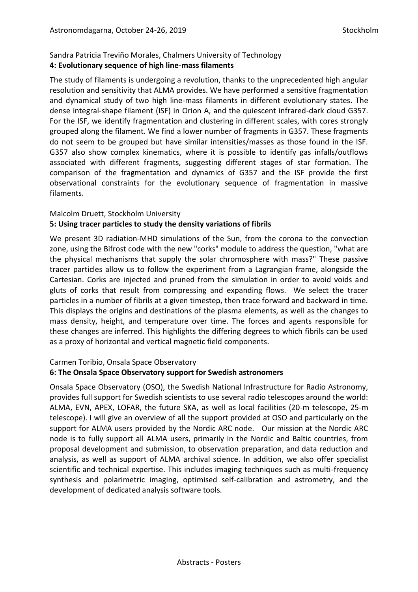#### Sandra Patricia Treviño Morales, Chalmers University of Technology **4: Evolutionary sequence of high line-mass filaments**

The study of filaments is undergoing a revolution, thanks to the unprecedented high angular resolution and sensitivity that ALMA provides. We have performed a sensitive fragmentation and dynamical study of two high line-mass filaments in different evolutionary states. The dense integral-shape filament (ISF) in Orion A, and the quiescent infrared-dark cloud G357. For the ISF, we identify fragmentation and clustering in different scales, with cores strongly grouped along the filament. We find a lower number of fragments in G357. These fragments do not seem to be grouped but have similar intensities/masses as those found in the ISF. G357 also show complex kinematics, where it is possible to identify gas infalls/outflows associated with different fragments, suggesting different stages of star formation. The comparison of the fragmentation and dynamics of G357 and the ISF provide the first observational constraints for the evolutionary sequence of fragmentation in massive filaments.

# Malcolm Druett, Stockholm University **5: Using tracer particles to study the density variations of fibrils**

We present 3D radiation-MHD simulations of the Sun, from the corona to the convection zone, using the Bifrost code with the new "corks" module to address the question, "what are the physical mechanisms that supply the solar chromosphere with mass?" These passive tracer particles allow us to follow the experiment from a Lagrangian frame, alongside the Cartesian. Corks are injected and pruned from the simulation in order to avoid voids and gluts of corks that result from compressing and expanding flows. We select the tracer particles in a number of fibrils at a given timestep, then trace forward and backward in time. This displays the origins and destinations of the plasma elements, as well as the changes to mass density, height, and temperature over time. The forces and agents responsible for these changes are inferred. This highlights the differing degrees to which fibrils can be used as a proxy of horizontal and vertical magnetic field components.

# Carmen Toribio, Onsala Space Observatory

# **6: The Onsala Space Observatory support for Swedish astronomers**

Onsala Space Observatory (OSO), the Swedish National Infrastructure for Radio Astronomy, provides full support for Swedish scientists to use several radio telescopes around the world: ALMA, EVN, APEX, LOFAR, the future SKA, as well as local facilities (20-m telescope, 25-m telescope). I will give an overview of all the support provided at OSO and particularly on the support for ALMA users provided by the Nordic ARC node. Our mission at the Nordic ARC node is to fully support all ALMA users, primarily in the Nordic and Baltic countries, from proposal development and submission, to observation preparation, and data reduction and analysis, as well as support of ALMA archival science. In addition, we also offer specialist scientific and technical expertise. This includes imaging techniques such as multi-frequency synthesis and polarimetric imaging, optimised self-calibration and astrometry, and the development of dedicated analysis software tools.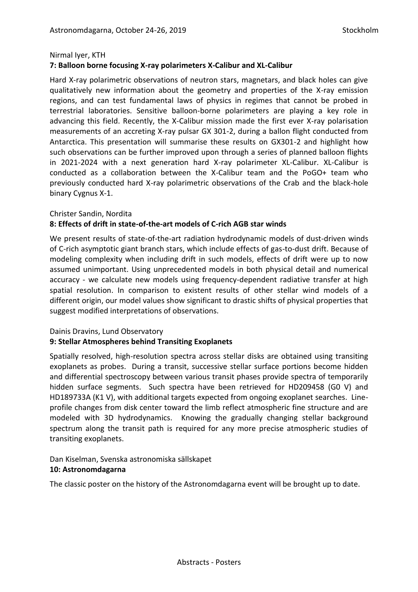#### Nirmal Iyer, KTH **7: Balloon borne focusing X-ray polarimeters X-Calibur and XL-Calibur**

Hard X-ray polarimetric observations of neutron stars, magnetars, and black holes can give qualitatively new information about the geometry and properties of the X-ray emission regions, and can test fundamental laws of physics in regimes that cannot be probed in terrestrial laboratories. Sensitive balloon-borne polarimeters are playing a key role in advancing this field. Recently, the X-Calibur mission made the first ever X-ray polarisation measurements of an accreting X-ray pulsar GX 301-2, during a ballon flight conducted from Antarctica. This presentation will summarise these results on GX301-2 and highlight how such observations can be further improved upon through a series of planned balloon flights in 2021-2024 with a next generation hard X-ray polarimeter XL-Calibur. XL-Calibur is conducted as a collaboration between the X-Calibur team and the PoGO+ team who previously conducted hard X-ray polarimetric observations of the Crab and the black-hole binary Cygnus X-1.

# Christer Sandin, Nordita **8: Effects of drift in state-of-the-art models of C-rich AGB star winds**

We present results of state-of-the-art radiation hydrodynamic models of dust-driven winds of C-rich asymptotic giant branch stars, which include effects of gas-to-dust drift. Because of modeling complexity when including drift in such models, effects of drift were up to now assumed unimportant. Using unprecedented models in both physical detail and numerical accuracy - we calculate new models using frequency-dependent radiative transfer at high spatial resolution. In comparison to existent results of other stellar wind models of a different origin, our model values show significant to drastic shifts of physical properties that suggest modified interpretations of observations.

# Dainis Dravins, Lund Observatory

#### **9: Stellar Atmospheres behind Transiting Exoplanets**

Spatially resolved, high-resolution spectra across stellar disks are obtained using transiting exoplanets as probes. During a transit, successive stellar surface portions become hidden and differential spectroscopy between various transit phases provide spectra of temporarily hidden surface segments. Such spectra have been retrieved for HD209458 (G0 V) and HD189733A (K1 V), with additional targets expected from ongoing exoplanet searches. Lineprofile changes from disk center toward the limb reflect atmospheric fine structure and are modeled with 3D hydrodynamics. Knowing the gradually changing stellar background spectrum along the transit path is required for any more precise atmospheric studies of transiting exoplanets.

# Dan Kiselman, Svenska astronomiska sällskapet

#### **10: Astronomdagarna**

The classic poster on the history of the Astronomdagarna event will be brought up to date.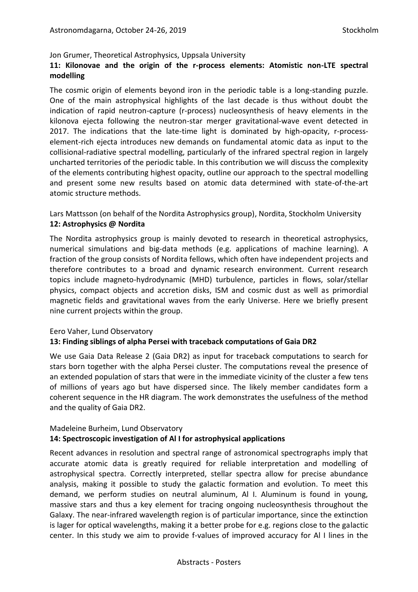Jon Grumer, Theoretical Astrophysics, Uppsala University

## **11: Kilonovae and the origin of the r-process elements: Atomistic non-LTE spectral modelling**

The cosmic origin of elements beyond iron in the periodic table is a long-standing puzzle. One of the main astrophysical highlights of the last decade is thus without doubt the indication of rapid neutron-capture (r-process) nucleosynthesis of heavy elements in the kilonova ejecta following the neutron-star merger gravitational-wave event detected in 2017. The indications that the late-time light is dominated by high-opacity, r-processelement-rich ejecta introduces new demands on fundamental atomic data as input to the collisional-radiative spectral modelling, particularly of the infrared spectral region in largely uncharted territories of the periodic table. In this contribution we will discuss the complexity of the elements contributing highest opacity, outline our approach to the spectral modelling and present some new results based on atomic data determined with state-of-the-art atomic structure methods.

Lars Mattsson (on behalf of the Nordita Astrophysics group), Nordita, Stockholm University **12: Astrophysics @ Nordita**

The Nordita astrophysics group is mainly devoted to research in theoretical astrophysics, numerical simulations and big-data methods (e.g. applications of machine learning). A fraction of the group consists of Nordita fellows, which often have independent projects and therefore contributes to a broad and dynamic research environment. Current research topics include magneto-hydrodynamic (MHD) turbulence, particles in flows, solar/stellar physics, compact objects and accretion disks, ISM and cosmic dust as well as primordial magnetic fields and gravitational waves from the early Universe. Here we briefly present nine current projects within the group.

#### Eero Vaher, Lund Observatory

#### **13: Finding siblings of alpha Persei with traceback computations of Gaia DR2**

We use Gaia Data Release 2 (Gaia DR2) as input for traceback computations to search for stars born together with the alpha Persei cluster. The computations reveal the presence of an extended population of stars that were in the immediate vicinity of the cluster a few tens of millions of years ago but have dispersed since. The likely member candidates form a coherent sequence in the HR diagram. The work demonstrates the usefulness of the method and the quality of Gaia DR2.

# Madeleine Burheim, Lund Observatory **14: Spectroscopic investigation of Al I for astrophysical applications**

Recent advances in resolution and spectral range of astronomical spectrographs imply that accurate atomic data is greatly required for reliable interpretation and modelling of astrophysical spectra. Correctly interpreted, stellar spectra allow for precise abundance analysis, making it possible to study the galactic formation and evolution. To meet this demand, we perform studies on neutral aluminum, Al I. Aluminum is found in young, massive stars and thus a key element for tracing ongoing nucleosynthesis throughout the Galaxy. The near-infrared wavelength region is of particular importance, since the extinction is lager for optical wavelengths, making it a better probe for e.g. regions close to the galactic center. In this study we aim to provide f-values of improved accuracy for Al I lines in the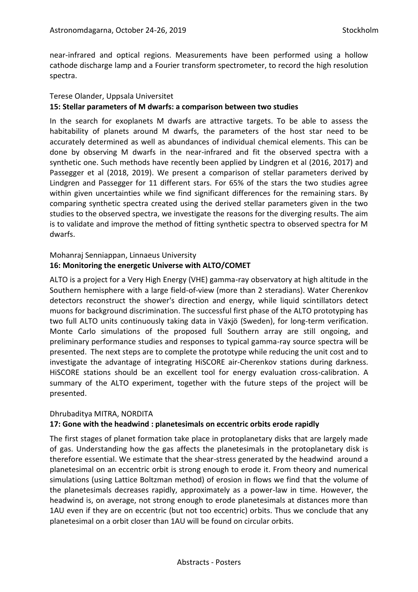near-infrared and optical regions. Measurements have been performed using a hollow cathode discharge lamp and a Fourier transform spectrometer, to record the high resolution spectra.

## Terese Olander, Uppsala Universitet **15: Stellar parameters of M dwarfs: a comparison between two studies**

In the search for exoplanets M dwarfs are attractive targets. To be able to assess the habitability of planets around M dwarfs, the parameters of the host star need to be accurately determined as well as abundances of individual chemical elements. This can be done by observing M dwarfs in the near-infrared and fit the observed spectra with a synthetic one. Such methods have recently been applied by Lindgren et al (2016, 2017) and Passegger et al (2018, 2019). We present a comparison of stellar parameters derived by Lindgren and Passegger for 11 different stars. For 65% of the stars the two studies agree within given uncertainties while we find significant differences for the remaining stars. By comparing synthetic spectra created using the derived stellar parameters given in the two studies to the observed spectra, we investigate the reasons for the diverging results. The aim is to validate and improve the method of fitting synthetic spectra to observed spectra for M dwarfs.

# Mohanraj Senniappan, Linnaeus University

# **16: Monitoring the energetic Universe with ALTO/COMET**

ALTO is a project for a Very High Energy (VHE) gamma-ray observatory at high altitude in the Southern hemisphere with a large field-of-view (more than 2 steradians). Water Cherenkov detectors reconstruct the shower's direction and energy, while liquid scintillators detect muons for background discrimination. The successful first phase of the ALTO prototyping has two full ALTO units continuously taking data in Växjö (Sweden), for long-term verification. Monte Carlo simulations of the proposed full Southern array are still ongoing, and preliminary performance studies and responses to typical gamma-ray source spectra will be presented. The next steps are to complete the prototype while reducing the unit cost and to investigate the advantage of integrating HiSCORE air-Cherenkov stations during darkness. HiSCORE stations should be an excellent tool for energy evaluation cross-calibration. A summary of the ALTO experiment, together with the future steps of the project will be presented.

# Dhrubaditya MITRA, NORDITA

# **17: Gone with the headwind : planetesimals on eccentric orbits erode rapidly**

The first stages of planet formation take place in protoplanetary disks that are largely made of gas. Understanding how the gas affects the planetesimals in the protoplanetary disk is therefore essential. We estimate that the shear-stress generated by the headwind around a planetesimal on an eccentric orbit is strong enough to erode it. From theory and numerical simulations (using Lattice Boltzman method) of erosion in flows we find that the volume of the planetesimals decreases rapidly, approximately as a power-law in time. However, the headwind is, on average, not strong enough to erode planetesimals at distances more than 1AU even if they are on eccentric (but not too eccentric) orbits. Thus we conclude that any planetesimal on a orbit closer than 1AU will be found on circular orbits.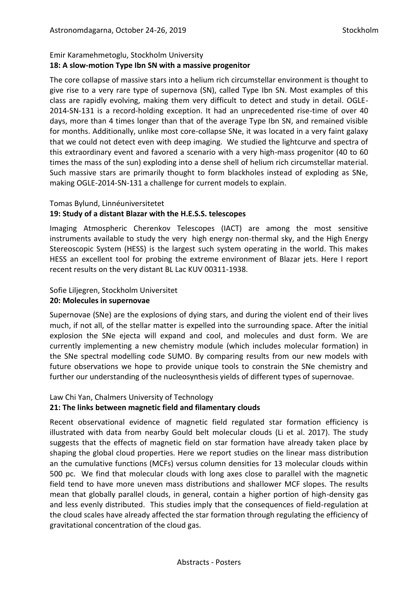# Emir Karamehmetoglu, Stockholm University **18: A slow-motion Type Ibn SN with a massive progenitor**

The core collapse of massive stars into a helium rich circumstellar environment is thought to give rise to a very rare type of supernova (SN), called Type Ibn SN. Most examples of this class are rapidly evolving, making them very difficult to detect and study in detail. OGLE-2014-SN-131 is a record-holding exception. It had an unprecedented rise-time of over 40 days, more than 4 times longer than that of the average Type Ibn SN, and remained visible for months. Additionally, unlike most core-collapse SNe, it was located in a very faint galaxy that we could not detect even with deep imaging. We studied the lightcurve and spectra of this extraordinary event and favored a scenario with a very high-mass progenitor (40 to 60 times the mass of the sun) exploding into a dense shell of helium rich circumstellar material. Such massive stars are primarily thought to form blackholes instead of exploding as SNe, making OGLE-2014-SN-131 a challenge for current models to explain.

#### Tomas Bylund, Linnéuniversitetet

# **19: Study of a distant Blazar with the H.E.S.S. telescopes**

Imaging Atmospheric Cherenkov Telescopes (IACT) are among the most sensitive instruments available to study the very high energy non-thermal sky, and the High Energy Stereoscopic System (HESS) is the largest such system operating in the world. This makes HESS an excellent tool for probing the extreme environment of Blazar jets. Here I report recent results on the very distant BL Lac KUV 00311-1938.

## Sofie Liljegren, Stockholm Universitet **20: Molecules in supernovae**

Supernovae (SNe) are the explosions of dying stars, and during the violent end of their lives much, if not all, of the stellar matter is expelled into the surrounding space. After the initial explosion the SNe ejecta will expand and cool, and molecules and dust form. We are currently implementing a new chemistry module (which includes molecular formation) in the SNe spectral modelling code SUMO. By comparing results from our new models with future observations we hope to provide unique tools to constrain the SNe chemistry and further our understanding of the nucleosynthesis yields of different types of supernovae.

# Law Chi Yan, Chalmers University of Technology

# **21: The links between magnetic field and filamentary clouds**

Recent observational evidence of magnetic field regulated star formation efficiency is illustrated with data from nearby Gould belt molecular clouds (Li et al. 2017). The study suggests that the effects of magnetic field on star formation have already taken place by shaping the global cloud properties. Here we report studies on the linear mass distribution an the cumulative functions (MCFs) versus column densities for 13 molecular clouds within 500 pc. We find that molecular clouds with long axes close to parallel with the magnetic field tend to have more uneven mass distributions and shallower MCF slopes. The results mean that globally parallel clouds, in general, contain a higher portion of high-density gas and less evenly distributed. This studies imply that the consequences of field-regulation at the cloud scales have already affected the star formation through regulating the efficiency of gravitational concentration of the cloud gas.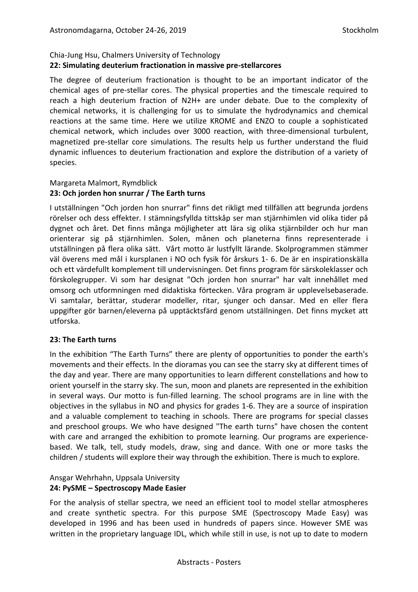# Chia-Jung Hsu, Chalmers University of Technology **22: Simulating deuterium fractionation in massive pre-stellarcores**

The degree of deuterium fractionation is thought to be an important indicator of the chemical ages of pre-stellar cores. The physical properties and the timescale required to reach a high deuterium fraction of N2H+ are under debate. Due to the complexity of chemical networks, it is challenging for us to simulate the hydrodynamics and chemical reactions at the same time. Here we utilize KROME and ENZO to couple a sophisticated chemical network, which includes over 3000 reaction, with three-dimensional turbulent, magnetized pre-stellar core simulations. The results help us further understand the fluid dynamic influences to deuterium fractionation and explore the distribution of a variety of species.

# Margareta Malmort, Rymdblick

#### **23: Och jorden hon snurrar / The Earth turns**

I utställningen "Och jorden hon snurrar" finns det rikligt med tillfällen att begrunda jordens rörelser och dess effekter. I stämningsfyllda tittskåp ser man stjärnhimlen vid olika tider på dygnet och året. Det finns många möjligheter att lära sig olika stjärnbilder och hur man orienterar sig på stjärnhimlen. Solen, månen och planeterna finns representerade i utställningen på flera olika sätt. Vårt motto är lustfyllt lärande. Skolprogrammen stämmer väl överens med mål i kursplanen i NO och fysik för årskurs 1- 6. De är en inspirationskälla och ett värdefullt komplement till undervisningen. Det finns program för särskoleklasser och förskolegrupper. Vi som har designat "Och jorden hon snurrar" har valt innehållet med omsorg och utformningen med didaktiska förtecken. Våra program är upplevelsebaserade. Vi samtalar, berättar, studerar modeller, ritar, sjunger och dansar. Med en eller flera uppgifter gör barnen/eleverna på upptäcktsfärd genom utställningen. Det finns mycket att utforska.

# **23: The Earth turns**

In the exhibition "The Earth Turns" there are plenty of opportunities to ponder the earth's movements and their effects. In the dioramas you can see the starry sky at different times of the day and year. There are many opportunities to learn different constellations and how to orient yourself in the starry sky. The sun, moon and planets are represented in the exhibition in several ways. Our motto is fun-filled learning. The school programs are in line with the objectives in the syllabus in NO and physics for grades 1-6. They are a source of inspiration and a valuable complement to teaching in schools. There are programs for special classes and preschool groups. We who have designed "The earth turns" have chosen the content with care and arranged the exhibition to promote learning. Our programs are experiencebased. We talk, tell, study models, draw, sing and dance. With one or more tasks the children / students will explore their way through the exhibition. There is much to explore.

# Ansgar Wehrhahn, Uppsala University **24: PySME – Spectroscopy Made Easier**

For the analysis of stellar spectra, we need an efficient tool to model stellar atmospheres and create synthetic spectra. For this purpose SME (Spectroscopy Made Easy) was developed in 1996 and has been used in hundreds of papers since. However SME was written in the proprietary language IDL, which while still in use, is not up to date to modern